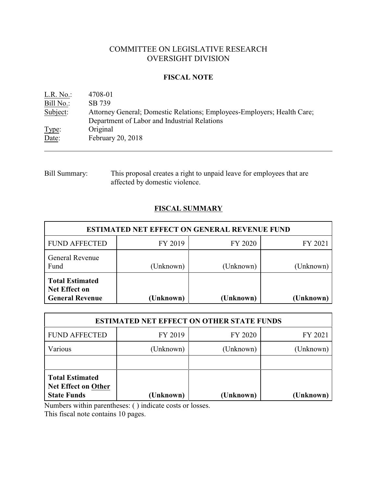# COMMITTEE ON LEGISLATIVE RESEARCH OVERSIGHT DIVISION

## **FISCAL NOTE**

| $L.R. No.$ : | 4708-01                                                                 |
|--------------|-------------------------------------------------------------------------|
| Bill No.:    | SB 739                                                                  |
| Subject:     | Attorney General; Domestic Relations; Employees-Employers; Health Care; |
|              | Department of Labor and Industrial Relations                            |
| Type:        | Original                                                                |
| Date:        | February 20, 2018                                                       |

Bill Summary: This proposal creates a right to unpaid leave for employees that are affected by domestic violence.

# **FISCAL SUMMARY**

| <b>ESTIMATED NET EFFECT ON GENERAL REVENUE FUND</b>                      |           |           |           |  |  |
|--------------------------------------------------------------------------|-----------|-----------|-----------|--|--|
| <b>FUND AFFECTED</b>                                                     | FY 2019   | FY 2020   | FY 2021   |  |  |
| <b>General Revenue</b><br>Fund                                           | (Unknown) | (Unknown) | (Unknown) |  |  |
| <b>Total Estimated</b><br><b>Net Effect on</b><br><b>General Revenue</b> | (Unknown) | (Unknown) | (Unknown) |  |  |

| <b>ESTIMATED NET EFFECT ON OTHER STATE FUNDS</b>                           |           |           |           |  |  |
|----------------------------------------------------------------------------|-----------|-----------|-----------|--|--|
| <b>FUND AFFECTED</b>                                                       | FY 2019   | FY 2020   | FY 2021   |  |  |
| Various                                                                    | (Unknown) | (Unknown) | (Unknown) |  |  |
|                                                                            |           |           |           |  |  |
| <b>Total Estimated</b><br><b>Net Effect on Other</b><br><b>State Funds</b> | (Unknown) | (Unknown) | (Unknown) |  |  |

Numbers within parentheses: ( ) indicate costs or losses.

This fiscal note contains 10 pages.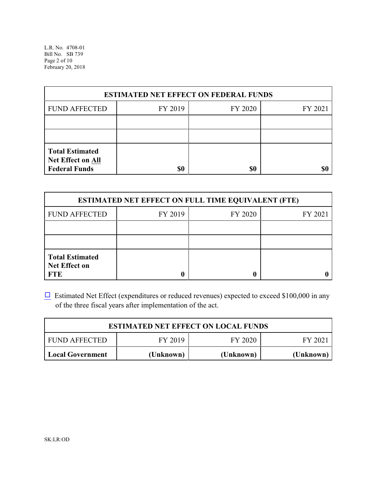L.R. No. 4708-01 Bill No. SB 739 Page 2 of 10 February 20, 2018

| <b>ESTIMATED NET EFFECT ON FEDERAL FUNDS</b>                        |         |         |         |  |  |
|---------------------------------------------------------------------|---------|---------|---------|--|--|
| <b>FUND AFFECTED</b>                                                | FY 2019 | FY 2020 | FY 2021 |  |  |
|                                                                     |         |         |         |  |  |
|                                                                     |         |         |         |  |  |
| <b>Total Estimated</b><br>Net Effect on All<br><b>Federal Funds</b> | \$0     | \$0     |         |  |  |

| <b>ESTIMATED NET EFFECT ON FULL TIME EQUIVALENT (FTE)</b>    |         |         |         |  |  |
|--------------------------------------------------------------|---------|---------|---------|--|--|
| <b>FUND AFFECTED</b>                                         | FY 2019 | FY 2020 | FY 2021 |  |  |
|                                                              |         |         |         |  |  |
|                                                              |         |         |         |  |  |
| <b>Total Estimated</b><br><b>Net Effect on</b><br><b>FTE</b> |         |         |         |  |  |

 $\Box$  Estimated Net Effect (expenditures or reduced revenues) expected to exceed \$100,000 in any of the three fiscal years after implementation of the act.

| <b>ESTIMATED NET EFFECT ON LOCAL FUNDS</b>            |           |           |           |  |  |  |
|-------------------------------------------------------|-----------|-----------|-----------|--|--|--|
| FY 2019<br>FY 2020<br><b>FUND AFFECTED</b><br>FY 2021 |           |           |           |  |  |  |
| Local Government                                      | (Unknown) | (Unknown) | (Unknown) |  |  |  |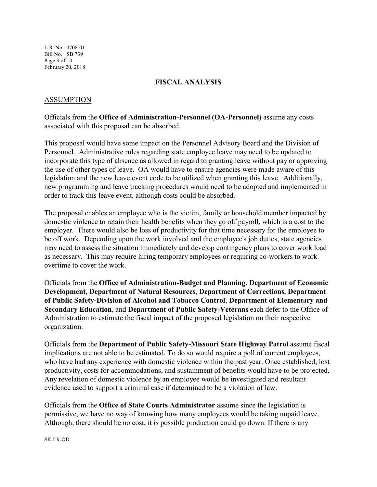L.R. No. 4708-01 Bill No. SB 739 Page 3 of 10 February 20, 2018

## **FISCAL ANALYSIS**

### ASSUMPTION

Officials from the **Office of Administration-Personnel (OA-Personnel)** assume any costs associated with this proposal can be absorbed.

This proposal would have some impact on the Personnel Advisory Board and the Division of Personnel. Administrative rules regarding state employee leave may need to be updated to incorporate this type of absence as allowed in regard to granting leave without pay or approving the use of other types of leave. OA would have to ensure agencies were made aware of this legislation and the new leave event code to be utilized when granting this leave. Additionally, new programming and leave tracking procedures would need to be adopted and implemented in order to track this leave event, although costs could be absorbed.

The proposal enables an employee who is the victim, family or household member impacted by domestic violence to retain their health benefits when they go off payroll, which is a cost to the employer. There would also be loss of productivity for that time necessary for the employee to be off work. Depending upon the work involved and the employee's job duties, state agencies may need to assess the situation immediately and develop contingency plans to cover work load as necessary. This may require hiring temporary employees or requiring co-workers to work overtime to cover the work.

Officials from the **Office of Administration-Budget and Planning**, **Department of Economic Development**, **Department of Natural Resources**, **Department of Corrections**, **Department of Public Safety-Division of Alcohol and Tobacco Control**, **Department of Elementary and Secondary Education**, and **Department of Public Safety-Veterans** each defer to the Office of Administration to estimate the fiscal impact of the proposed legislation on their respective organization.

Officials from the **Department of Public Safety-Missouri State Highway Patrol** assume fiscal implications are not able to be estimated. To do so would require a poll of current employees, who have had any experience with domestic violence within the past year. Once established, lost productivity, costs for accommodations, and sustainment of benefits would have to be projected. Any revelation of domestic violence by an employee would be investigated and resultant evidence used to support a criminal case if determined to be a violation of law.

Officials from the **Office of State Courts Administrator** assume since the legislation is permissive, we have no way of knowing how many employees would be taking unpaid leave. Although, there should be no cost, it is possible production could go down. If there is any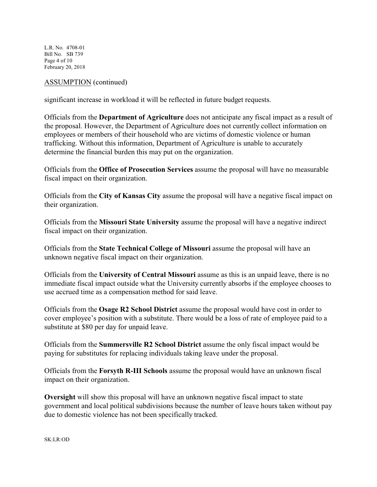L.R. No. 4708-01 Bill No. SB 739 Page 4 of 10 February 20, 2018

## ASSUMPTION (continued)

significant increase in workload it will be reflected in future budget requests.

Officials from the **Department of Agriculture** does not anticipate any fiscal impact as a result of the proposal. However, the Department of Agriculture does not currently collect information on employees or members of their household who are victims of domestic violence or human trafficking. Without this information, Department of Agriculture is unable to accurately determine the financial burden this may put on the organization.

Officials from the **Office of Prosecution Services** assume the proposal will have no measurable fiscal impact on their organization.

Officials from the **City of Kansas City** assume the proposal will have a negative fiscal impact on their organization.

Officials from the **Missouri State University** assume the proposal will have a negative indirect fiscal impact on their organization.

Officials from the **State Technical College of Missouri** assume the proposal will have an unknown negative fiscal impact on their organization.

Officials from the **University of Central Missouri** assume as this is an unpaid leave, there is no immediate fiscal impact outside what the University currently absorbs if the employee chooses to use accrued time as a compensation method for said leave.

Officials from the **Osage R2 School District** assume the proposal would have cost in order to cover employee's position with a substitute. There would be a loss of rate of employee paid to a substitute at \$80 per day for unpaid leave.

Officials from the **Summersville R2 School District** assume the only fiscal impact would be paying for substitutes for replacing individuals taking leave under the proposal.

Officials from the **Forsyth R-III Schools** assume the proposal would have an unknown fiscal impact on their organization.

**Oversight** will show this proposal will have an unknown negative fiscal impact to state government and local political subdivisions because the number of leave hours taken without pay due to domestic violence has not been specifically tracked.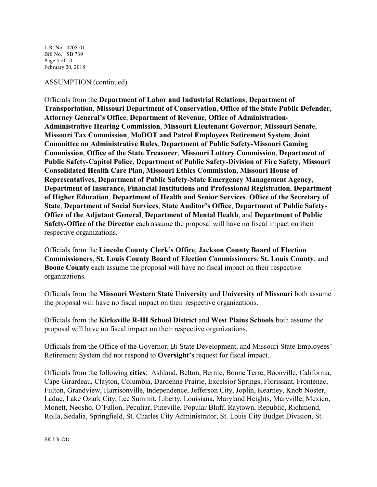L.R. No. 4708-01 Bill No. SB 739 Page 5 of 10 February 20, 2018

#### ASSUMPTION (continued)

Officials from the **Department of Labor and Industrial Relations**, **Department of Transportation**, **Missouri Department of Conservation**, **Office of the State Public Defender**, **Attorney General's Office**, **Department of Revenue**, **Office of Administration-Administrative Hearing Commission**, **Missouri Lieutenant Governor**, **Missouri Senate**, **Missouri Tax Commission**, **MoDOT and Patrol Employees Retirement System**, **Joint Committee on Administrative Rules**, **Department of Public Safety-Missouri Gaming Commission**, **Office of the State Treasurer**, **Missouri Lottery Commission**, **Department of Public Safety-Capitol Police**, **Department of Public Safety-Division of Fire Safety**, **Missouri Consolidated Health Care Plan**, **Missouri Ethics Commission**, **Missouri House of Representatives**, **Department of Public Safety-State Emergency Management Agency**, **Department of Insurance, Financial Institutions and Professional Registration**, **Department of Higher Education**, **Department of Health and Senior Services**, **Office of the Secretary of State**, **Department of Social Services**, **State Auditor's Office**, **Department of Public Safety-Office of the Adjutant General**, **Department of Mental Health**, and **Department of Public Safety-Office of the Director** each assume the proposal will have no fiscal impact on their respective organizations.

Officials from the **Lincoln County Clerk's Office**, **Jackson County Board of Election Commissioners**, **St. Louis County Board of Election Commissioners**, **St. Louis County**, and **Boone County** each assume the proposal will have no fiscal impact on their respective organizations.

Officials from the **Missouri Western State University** and **University of Missouri** both assume the proposal will have no fiscal impact on their respective organizations.

Officials from the **Kirksville R-III School District** and **West Plains Schools** both assume the proposal will have no fiscal impact on their respective organizations.

Officials from the Office of the Governor, Bi-State Development, and Missouri State Employees' Retirement System did not respond to **Oversight's** request for fiscal impact.

Officials from the following **cities**: Ashland, Belton, Bernie, Bonne Terre, Boonville, California, Cape Girardeau, Clayton, Columbia, Dardenne Prairie, Excelsior Springs, Florissant, Frontenac, Fulton, Grandview, Harrisonville, Independence, Jefferson City, Joplin, Kearney, Knob Noster, Ladue, Lake Ozark City, Lee Summit, Liberty, Louisiana, Maryland Heights, Maryville, Mexico, Monett, Neosho, O'Fallon, Peculiar, Pineville, Popular Bluff, Raytown, Republic, Richmond, Rolla, Sedalia, Springfield, St. Charles City Administrator, St. Louis City Budget Division, St.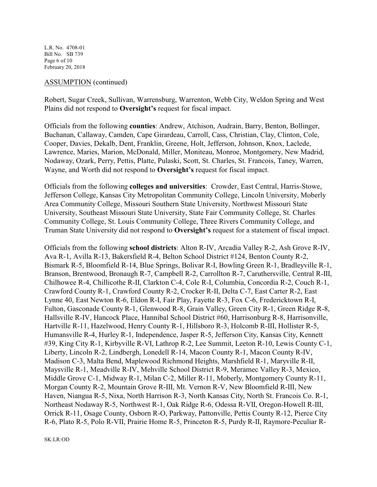L.R. No. 4708-01 Bill No. SB 739 Page 6 of 10 February 20, 2018

### ASSUMPTION (continued)

Robert, Sugar Creek, Sullivan, Warrensburg, Warrenton, Webb City, Weldon Spring and West Plains did not respond to **Oversight's** request for fiscal impact.

Officials from the following **counties**: Andrew, Atchison, Audrain, Barry, Benton, Bollinger, Buchanan, Callaway, Camden, Cape Girardeau, Carroll, Cass, Christian, Clay, Clinton, Cole, Cooper, Davies, Dekalb, Dent, Franklin, Greene, Holt, Jefferson, Johnson, Knox, Laclede, Lawrence, Maries, Marion, McDonald, Miller, Moniteau, Monroe, Montgomery, New Madrid, Nodaway, Ozark, Perry, Pettis, Platte, Pulaski, Scott, St. Charles, St. Francois, Taney, Warren, Wayne, and Worth did not respond to **Oversight's** request for fiscal impact.

Officials from the following **colleges and universities**: Crowder, East Central, Harris-Stowe, Jefferson College, Kansas City Metropolitan Community College, Lincoln University, Moberly Area Community College, Missouri Southern State University, Northwest Missouri State University, Southeast Missouri State University, State Fair Community College, St. Charles Community College, St. Louis Community College, Three Rivers Community College, and Truman State University did not respond to **Oversight's** request for a statement of fiscal impact.

Officials from the following **school districts**: Alton R-IV, Arcadia Valley R-2, Ash Grove R-IV, Ava R-1, Avilla R-13, Bakersfield R-4, Belton School District #124, Benton County R-2, Bismark R-5, Bloomfield R-14, Blue Springs, Bolivar R-I, Bowling Green R-1, Bradleyville R-1, Branson, Brentwood, Bronaugh R-7, Campbell R-2, Carrollton R-7, Caruthersville, Central R-III, Chilhowee R-4, Chillicothe R-II, Clarkton C-4, Cole R-I, Columbia, Concordia R-2, Couch R-1, Crawford County R-1, Crawford County R-2, Crocker R-II, Delta C-7, East Carter R-2, East Lynne 40, East Newton R-6, Eldon R-I, Fair Play, Fayette R-3, Fox C-6, Fredericktown R-I, Fulton, Gasconade County R-1, Glenwood R-8, Grain Valley, Green City R-1, Green Ridge R-8, Hallsville R-IV, Hancock Place, Hannibal School District #60, Harrisonburg R-8, Harrisonville, Hartville R-11, Hazelwood, Henry County R-1, Hillsboro R-3, Holcomb R-III, Hollister R-5, Humansville R-4, Hurley R-1, Independence, Jasper R-5, Jefferson City, Kansas City, Kennett #39, King City R-1, Kirbyville R-VI, Lathrop R-2, Lee Summit, Leeton R-10, Lewis County C-1, Liberty, Lincoln R-2, Lindbergh, Lonedell R-14, Macon County R-1, Macon County R-IV, Madison C-3, Malta Bend, Maplewood Richmond Heights, Marshfield R-1, Maryville R-II, Maysville R-1, Meadville R-IV, Mehville School District R-9, Meramec Valley R-3, Mexico, Middle Grove C-1, Midway R-1, Milan C-2, Miller R-11, Moberly, Montgomery County R-11, Morgan County R-2, Mountain Grove R-III, Mt. Vernon R-V, New Bloomfield R-III, New Haven, Niangua R-5, Nixa, North Harrison R-3, North Kansas City, North St. Francois Co. R-1, Northeast Nodaway R-5, Northwest R-1, Oak Ridge R-6, Odessa R-VII, Oregon-Howell R-III, Orrick R-11, Osage County, Osborn R-O, Parkway, Pattonville, Pettis County R-12, Pierce City R-6, Plato R-5, Polo R-VII, Prairie Home R-5, Princeton R-5, Purdy R-II, Raymore-Peculiar R-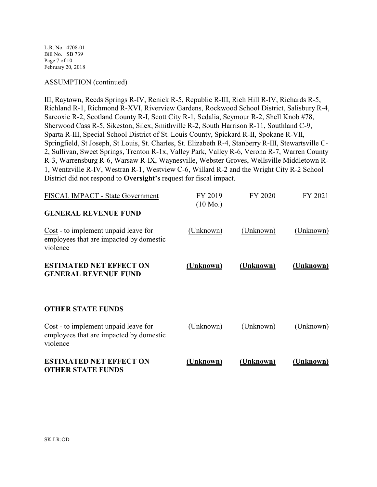L.R. No. 4708-01 Bill No. SB 739 Page 7 of 10 February 20, 2018

### ASSUMPTION (continued)

III, Raytown, Reeds Springs R-IV, Renick R-5, Republic R-III, Rich Hill R-IV, Richards R-5, Richland R-1, Richmond R-XVI, Riverview Gardens, Rockwood School District, Salisbury R-4, Sarcoxie R-2, Scotland County R-I, Scott City R-1, Sedalia, Seymour R-2, Shell Knob #78, Sherwood Cass R-5, Sikeston, Silex, Smithville R-2, South Harrison R-11, Southland C-9, Sparta R-III, Special School District of St. Louis County, Spickard R-II, Spokane R-VII, Springfield, St Joseph, St Louis, St. Charles, St. Elizabeth R-4, Stanberry R-III, Stewartsville C-2, Sullivan, Sweet Springs, Trenton R-1x, Valley Park, Valley R-6, Verona R-7, Warren County R-3, Warrensburg R-6, Warsaw R-IX, Waynesville, Webster Groves, Wellsville Middletown R-1, Wentzville R-IV, Westran R-1, Westview C-6, Willard R-2 and the Wright City R-2 School District did not respond to **Oversight's** request for fiscal impact.

| FISCAL IMPACT - State Government                                                            | FY 2019<br>$(10 \text{ Mo.})$ | FY 2020   | FY 2021   |
|---------------------------------------------------------------------------------------------|-------------------------------|-----------|-----------|
| <b>GENERAL REVENUE FUND</b>                                                                 |                               |           |           |
| Cost - to implement unpaid leave for<br>employees that are impacted by domestic<br>violence | (Unknown)                     | (Unknown) | (Unknown) |
| <b>ESTIMATED NET EFFECT ON</b><br><b>GENERAL REVENUE FUND</b>                               | <u>(Unknown)</u>              | (Unknown) | (Unknown) |
| <b>OTHER STATE FUNDS</b>                                                                    |                               |           |           |
| Cost - to implement unpaid leave for<br>employees that are impacted by domestic<br>violence | (Unknown)                     | (Unknown) | (Unknown) |
| <b>ESTIMATED NET EFFECT ON</b><br><b>OTHER STATE FUNDS</b>                                  | Unknown)                      | (Unknown) | (Unknown) |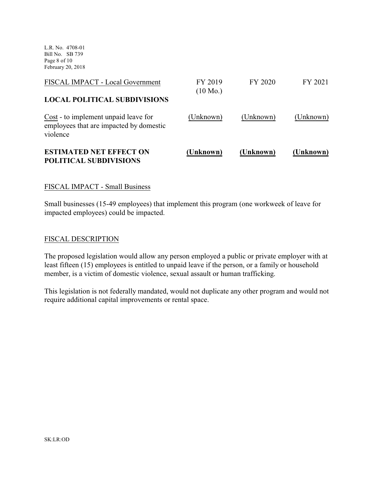L.R. No. 4708-01 Bill No. SB 739 Page 8 of 10 February 20, 2018

| <b>ESTIMATED NET EFFECT ON</b><br>POLITICAL SUBDIVISIONS                                    | (Unknown)          | (Unknown) | (Unknown) |
|---------------------------------------------------------------------------------------------|--------------------|-----------|-----------|
| Cost - to implement unpaid leave for<br>employees that are impacted by domestic<br>violence | (Unknown)          | (Unknown) | (Unknown) |
| <b>LOCAL POLITICAL SUBDIVISIONS</b>                                                         | $(10 \text{ Mo.})$ |           |           |
| FISCAL IMPACT - Local Government                                                            | FY 2019            | FY 2020   | FY 2021   |

## FISCAL IMPACT - Small Business

Small businesses (15-49 employees) that implement this program (one workweek of leave for impacted employees) could be impacted.

#### FISCAL DESCRIPTION

The proposed legislation would allow any person employed a public or private employer with at least fifteen (15) employees is entitled to unpaid leave if the person, or a family or household member, is a victim of domestic violence, sexual assault or human trafficking.

This legislation is not federally mandated, would not duplicate any other program and would not require additional capital improvements or rental space.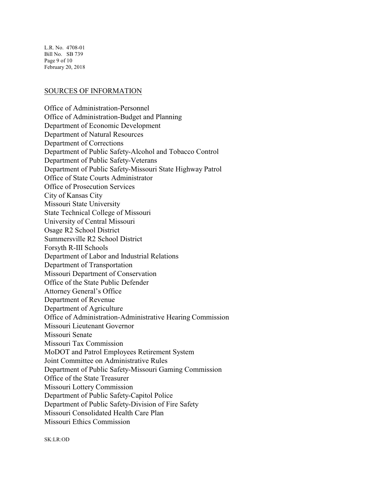L.R. No. 4708-01 Bill No. SB 739 Page 9 of 10 February 20, 2018

#### SOURCES OF INFORMATION

Office of Administration-Personnel Office of Administration-Budget and Planning Department of Economic Development Department of Natural Resources Department of Corrections Department of Public Safety-Alcohol and Tobacco Control Department of Public Safety-Veterans Department of Public Safety-Missouri State Highway Patrol Office of State Courts Administrator Office of Prosecution Services City of Kansas City Missouri State University State Technical College of Missouri University of Central Missouri Osage R2 School District Summersville R2 School District Forsyth R-III Schools Department of Labor and Industrial Relations Department of Transportation Missouri Department of Conservation Office of the State Public Defender Attorney General's Office Department of Revenue Department of Agriculture Office of Administration-Administrative Hearing Commission Missouri Lieutenant Governor Missouri Senate Missouri Tax Commission MoDOT and Patrol Employees Retirement System Joint Committee on Administrative Rules Department of Public Safety-Missouri Gaming Commission Office of the State Treasurer Missouri Lottery Commission Department of Public Safety-Capitol Police Department of Public Safety-Division of Fire Safety Missouri Consolidated Health Care Plan Missouri Ethics Commission

SK:LR:OD